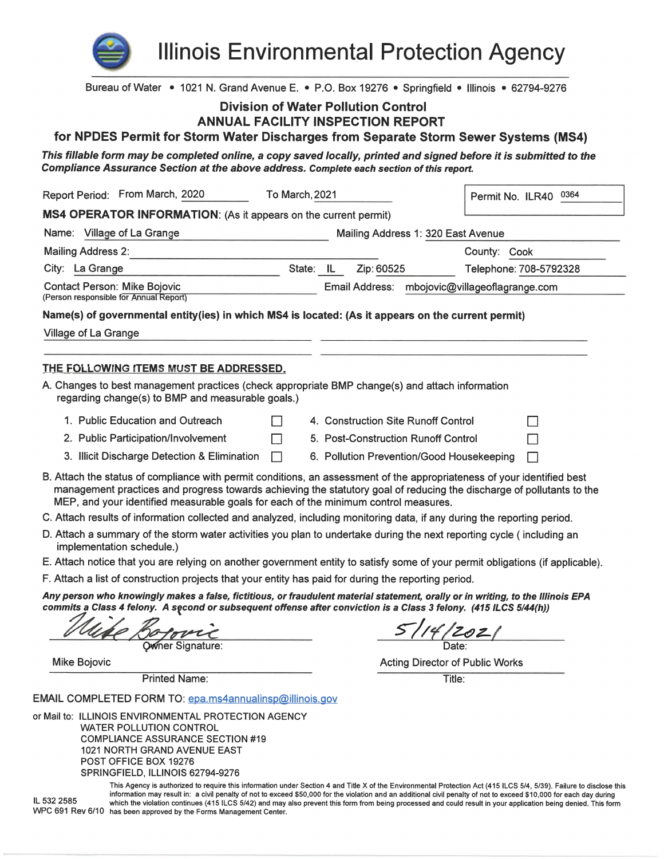

**Illinois Environmental Protection Agency** 

| Bureau of Water • 1021 N. Grand Avenue E. • P.O. Box 19276 • Springfield • Illinois • 62794-9276                                                                                                                                                                                                                                        |                |                                     |        |                                               |                        |  |
|-----------------------------------------------------------------------------------------------------------------------------------------------------------------------------------------------------------------------------------------------------------------------------------------------------------------------------------------|----------------|-------------------------------------|--------|-----------------------------------------------|------------------------|--|
| <b>Division of Water Pollution Control</b>                                                                                                                                                                                                                                                                                              |                |                                     |        |                                               |                        |  |
| <b>ANNUAL FACILITY INSPECTION REPORT</b>                                                                                                                                                                                                                                                                                                |                |                                     |        |                                               |                        |  |
| for NPDES Permit for Storm Water Discharges from Separate Storm Sewer Systems (MS4)                                                                                                                                                                                                                                                     |                |                                     |        |                                               |                        |  |
| This fillable form may be completed online, a copy saved locally, printed and signed before it is submitted to the<br>Compliance Assurance Section at the above address. Complete each section of this report.                                                                                                                          |                |                                     |        |                                               |                        |  |
| Report Period: From March, 2020                                                                                                                                                                                                                                                                                                         | To March, 2021 |                                     |        |                                               | Permit No. ILR40 0364  |  |
| MS4 OPERATOR INFORMATION: (As it appears on the current permit)                                                                                                                                                                                                                                                                         |                |                                     |        |                                               |                        |  |
| Name: Village of La Grange                                                                                                                                                                                                                                                                                                              |                | Mailing Address 1: 320 East Avenue  |        |                                               |                        |  |
| Mailing Address 2:                                                                                                                                                                                                                                                                                                                      |                |                                     |        | County: Cook                                  |                        |  |
| City: La Grange                                                                                                                                                                                                                                                                                                                         | State: IL      | Zip: 60525                          |        |                                               | Telephone: 708-5792328 |  |
| <b>Contact Person: Mike Bojovic</b><br>(Person responsible for Annual Report)                                                                                                                                                                                                                                                           |                |                                     |        | Email Address: mbojovic@villageoflagrange.com |                        |  |
| Name(s) of governmental entity(ies) in which MS4 is located: (As it appears on the current permit)                                                                                                                                                                                                                                      |                |                                     |        |                                               |                        |  |
| Village of La Grange                                                                                                                                                                                                                                                                                                                    |                |                                     |        |                                               |                        |  |
|                                                                                                                                                                                                                                                                                                                                         |                |                                     |        |                                               |                        |  |
| THE FOLLOWING ITEMS MUST BE ADDRESSED.                                                                                                                                                                                                                                                                                                  |                |                                     |        |                                               |                        |  |
| A. Changes to best management practices (check appropriate BMP change(s) and attach information<br>regarding change(s) to BMP and measurable goals.)                                                                                                                                                                                    |                |                                     |        |                                               |                        |  |
| 1. Public Education and Outreach<br>$\Box$                                                                                                                                                                                                                                                                                              |                | 4. Construction Site Runoff Control |        |                                               | $\Box$                 |  |
| 2. Public Participation/Involvement<br>П                                                                                                                                                                                                                                                                                                |                | 5. Post-Construction Runoff Control |        |                                               |                        |  |
| 3. Illicit Discharge Detection & Elimination<br>П                                                                                                                                                                                                                                                                                       |                |                                     |        | 6. Pollution Prevention/Good Housekeeping     | П                      |  |
| B. Attach the status of compliance with permit conditions, an assessment of the appropriateness of your identified best<br>management practices and progress towards achieving the statutory goal of reducing the discharge of pollutants to the<br>MEP, and your identified measurable goals for each of the minimum control measures. |                |                                     |        |                                               |                        |  |
| C. Attach results of information collected and analyzed, including monitoring data, if any during the reporting period.                                                                                                                                                                                                                 |                |                                     |        |                                               |                        |  |
| D. Attach a summary of the storm water activities you plan to undertake during the next reporting cycle (including an<br>implementation schedule.)                                                                                                                                                                                      |                |                                     |        |                                               |                        |  |
| E. Attach notice that you are relying on another government entity to satisfy some of your permit obligations (if applicable).                                                                                                                                                                                                          |                |                                     |        |                                               |                        |  |
| F. Attach a list of construction projects that your entity has paid for during the reporting period.                                                                                                                                                                                                                                    |                |                                     |        |                                               |                        |  |
| Any person who knowingly makes a false, fictitious, or fraudulent material statement, orally or in writing, to the Illinois EPA<br>commits a Class 4 felony. A second or subsequent offense after conviction is a Class 3 felony. (415 ILCS 5/44(h))                                                                                    |                |                                     |        |                                               |                        |  |
| Owner Signature:                                                                                                                                                                                                                                                                                                                        |                |                                     |        |                                               |                        |  |
| <b>Mike Bojovic</b>                                                                                                                                                                                                                                                                                                                     |                |                                     |        | <b>Acting Director of Public Works</b>        |                        |  |
| <b>Printed Name:</b>                                                                                                                                                                                                                                                                                                                    |                |                                     | Title: |                                               |                        |  |
|                                                                                                                                                                                                                                                                                                                                         |                |                                     |        |                                               |                        |  |
| EMAIL COMPLETED FORM TO: epa.ms4annualinsp@illinois.gov                                                                                                                                                                                                                                                                                 |                |                                     |        |                                               |                        |  |
| or Mail to: ILLINOIS ENVIRONMENTAL PROTECTION AGENCY<br><b>WATER POLLUTION CONTROL</b><br><b>COMPLIANCE ASSURANCE SECTION #19</b><br>1021 NORTH GRAND AVENUE EAST                                                                                                                                                                       |                |                                     |        |                                               |                        |  |
| POST OFFICE BOX 19276                                                                                                                                                                                                                                                                                                                   |                |                                     |        |                                               |                        |  |

SPRINGFIELD, ILLINOIS 62794-9276

This Agency is authorized to require this information under Section 4 and Title X of the Environmental Protection Act (415 ILCS 5/4, 5/39). Failure to disclose this information may result in: a civil penalty of not to exceed \$50,000 for the violation and an additional civil penalty of not to exceed \$10,000 for the Vidation and an additional civil penalty of not to exceed \$10,000 for e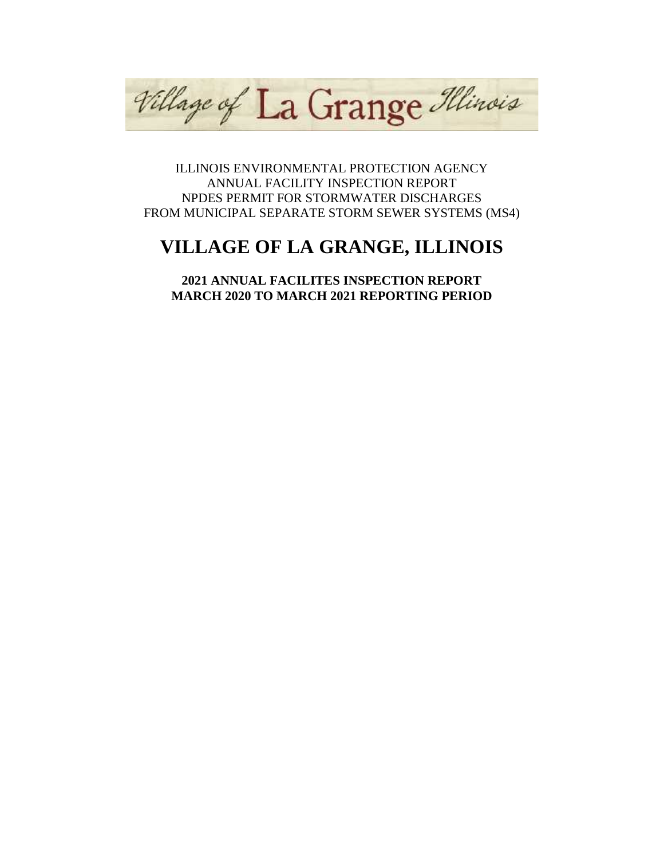Village of La Grange Illinois

ILLINOIS ENVIRONMENTAL PROTECTION AGENCY ANNUAL FACILITY INSPECTION REPORT NPDES PERMIT FOR STORMWATER DISCHARGES FROM MUNICIPAL SEPARATE STORM SEWER SYSTEMS (MS4)

# **VILLAGE OF LA GRANGE, ILLINOIS**

**2021 ANNUAL FACILITES INSPECTION REPORT MARCH 2020 TO MARCH 2021 REPORTING PERIOD**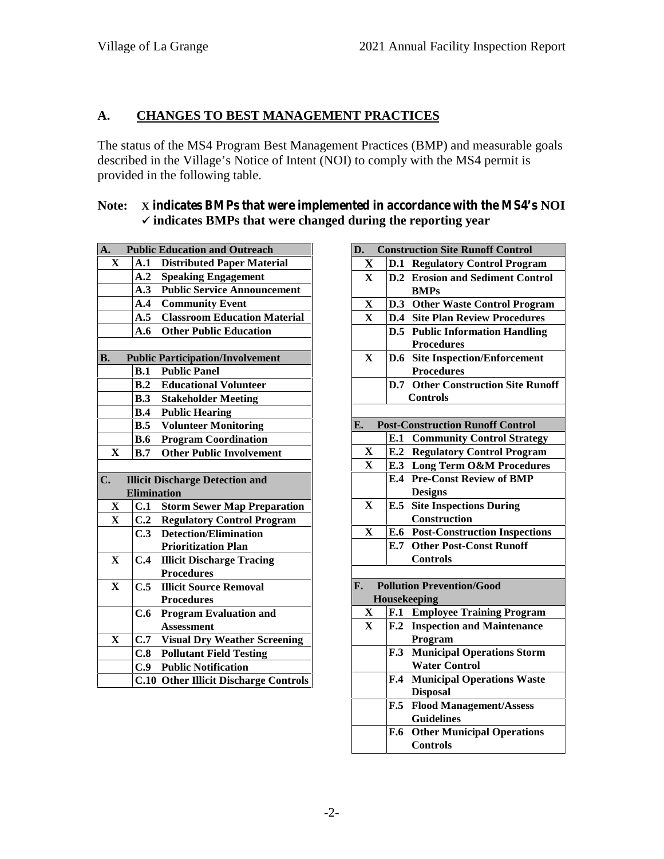# **A. CHANGES TO BEST MANAGEMENT PRACTICES**

The status of the MS4 Program Best Management Practices (BMP) and measurable goals described in the Village's Notice of Intent (NOI) to comply with the MS4 permit is provided in the following table.

# **Note: X indicates BMPs that were implemented in accordance with the MS4's NOI indicates BMPs that were changed during the reporting year**

| A.            |                    | <b>Public Education and Outreach</b>                                       | D  |
|---------------|--------------------|----------------------------------------------------------------------------|----|
| X             | A.1                | <b>Distributed Paper Material</b>                                          |    |
|               | A.2                | <b>Speaking Engagement</b>                                                 |    |
|               | A.3                | <b>Public Service Announcement</b>                                         |    |
|               | A.4                | <b>Community Event</b>                                                     |    |
|               | A.5                | <b>Classroom Education Material</b>                                        |    |
|               | A.6                | <b>Other Public Education</b>                                              |    |
|               |                    |                                                                            |    |
| B.            |                    | <b>Public Participation/Involvement</b>                                    |    |
|               | B.1                | <b>Public Panel</b>                                                        |    |
|               | B.2                | <b>Educational Volunteer</b>                                               |    |
|               |                    | <b>B.3</b> Stakeholder Meeting                                             |    |
|               |                    | <b>B.4</b> Public Hearing                                                  |    |
|               | B.5                | <b>Volunteer Monitoring</b>                                                | E. |
|               | <b>B.6</b>         | <b>Program Coordination</b>                                                |    |
| X             | B.7                | <b>Other Public Involvement</b>                                            |    |
|               |                    |                                                                            |    |
|               |                    |                                                                            |    |
| $C_{\bullet}$ |                    | <b>Illicit Discharge Detection and</b>                                     |    |
|               | <b>Elimination</b> |                                                                            |    |
| X             | <b>C.1</b>         | <b>Storm Sewer Map Preparation</b>                                         |    |
| $\mathbf{X}$  | C.2                | <b>Regulatory Control Program</b>                                          |    |
|               | C.3                | <b>Detection/Elimination</b>                                               |    |
|               |                    | <b>Prioritization Plan</b>                                                 |    |
| $\mathbf{X}$  | C.4                | <b>Illicit Discharge Tracing</b>                                           |    |
|               |                    | <b>Procedures</b>                                                          |    |
| $\mathbf X$   | C.5                | <b>Illicit Source Removal</b>                                              | F. |
|               |                    | <b>Procedures</b>                                                          |    |
|               | C.6                | <b>Program Evaluation and</b>                                              |    |
|               |                    | <b>Assessment</b>                                                          |    |
| X             | C.7                | <b>Visual Dry Weather Screening</b>                                        |    |
|               | C.8                | <b>Pollutant Field Testing</b>                                             |    |
|               | C.9                | <b>Public Notification</b><br><b>C.10 Other Illicit Discharge Controls</b> |    |

| D.                      |                | <b>Construction Site Runoff Control</b>              |
|-------------------------|----------------|------------------------------------------------------|
| X                       |                | <b>D.1 Regulatory Control Program</b>                |
| $\overline{\mathbf{X}}$ |                | <b>D.2</b> Erosion and Sediment Control              |
|                         |                | <b>BMPs</b>                                          |
| $\mathbf X$             |                | D.3 Other Waste Control Program                      |
| $\mathbf X$             |                | <b>D.4</b> Site Plan Review Procedures               |
|                         |                | <b>D.5</b> Public Information Handling               |
|                         |                | <b>Procedures</b>                                    |
| X                       |                | <b>D.6</b> Site Inspection/Enforcement               |
|                         |                | <b>Procedures</b>                                    |
|                         |                | <b>D.7</b> Other Construction Site Runoff            |
|                         |                | <b>Controls</b>                                      |
|                         |                |                                                      |
| E.                      |                | <b>Post-Construction Runoff Control</b>              |
|                         |                | <b>E.1 Community Control Strategy</b>                |
| X                       |                | <b>E.2 Regulatory Control Program</b>                |
| $\mathbf X$             |                | E.3 Long Term O&M Procedures                         |
|                         |                | <b>E.4 Pre-Const Review of BMP</b>                   |
| X                       |                | <b>Designs</b><br><b>E.5</b> Site Inspections During |
|                         |                | Construction                                         |
| X                       |                | <b>E.6</b> Post-Construction Inspections             |
|                         |                | <b>E.7 Other Post-Const Runoff</b>                   |
|                         |                | <b>Controls</b>                                      |
|                         |                |                                                      |
| F.                      |                | <b>Pollution Prevention/Good</b>                     |
|                         |                | Housekeeping                                         |
| $\mathbf X$             |                | F.1 Employee Training Program                        |
| X                       |                | <b>F.2</b> Inspection and Maintenance                |
|                         |                | Program                                              |
|                         | F.3            | <b>Municipal Operations Storm</b>                    |
|                         |                | <b>Water Control</b>                                 |
|                         | $\mathbf{F.4}$ | <b>Municipal Operations Waste</b>                    |
|                         |                | <b>Disposal</b>                                      |
|                         | F.5            | <b>Flood Management/Assess</b>                       |
|                         |                | <b>Guidelines</b>                                    |
|                         | <b>F.6</b>     | <b>Other Municipal Operations</b>                    |
|                         |                | <b>Controls</b>                                      |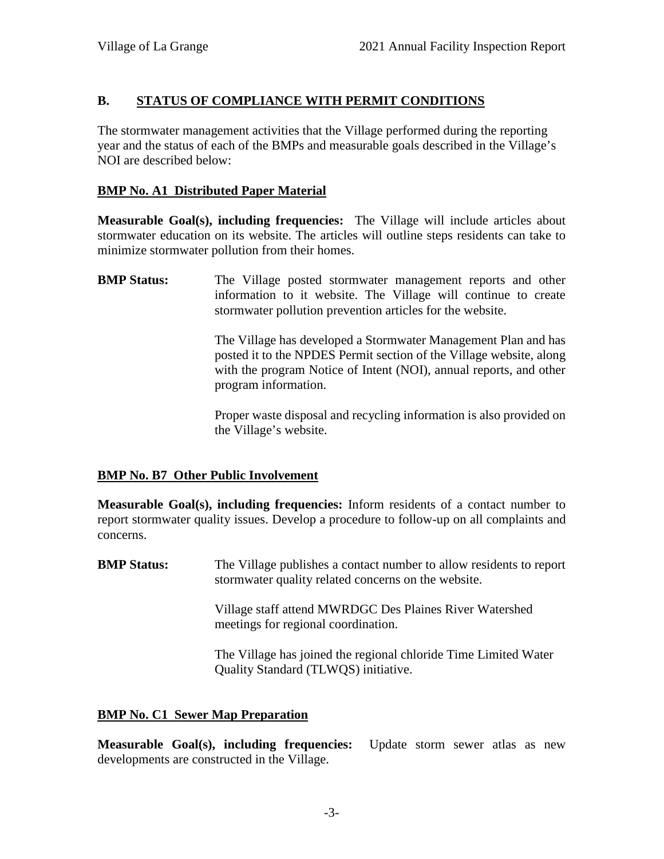# **B. STATUS OF COMPLIANCE WITH PERMIT CONDITIONS**

The stormwater management activities that the Village performed during the reporting year and the status of each of the BMPs and measurable goals described in the Village's NOI are described below:

# **BMP No. A1 Distributed Paper Material**

**Measurable Goal(s), including frequencies:** The Village will include articles about stormwater education on its website. The articles will outline steps residents can take to minimize stormwater pollution from their homes.

**BMP Status:** The Village posted stormwater management reports and other information to it website. The Village will continue to create stormwater pollution prevention articles for the website.

> The Village has developed a Stormwater Management Plan and has posted it to the NPDES Permit section of the Village website, along with the program Notice of Intent (NOI), annual reports, and other program information.

> Proper waste disposal and recycling information is also provided on the Village's website.

# **BMP No. B7 Other Public Involvement**

**Measurable Goal(s), including frequencies:** Inform residents of a contact number to report stormwater quality issues. Develop a procedure to follow-up on all complaints and concerns.

**BMP Status:** The Village publishes a contact number to allow residents to report stormwater quality related concerns on the website.

> Village staff attend MWRDGC Des Plaines River Watershed meetings for regional coordination.

The Village has joined the regional chloride Time Limited Water Quality Standard (TLWQS) initiative.

# **BMP No. C1 Sewer Map Preparation**

**Measurable Goal(s), including frequencies:** Update storm sewer atlas as new developments are constructed in the Village.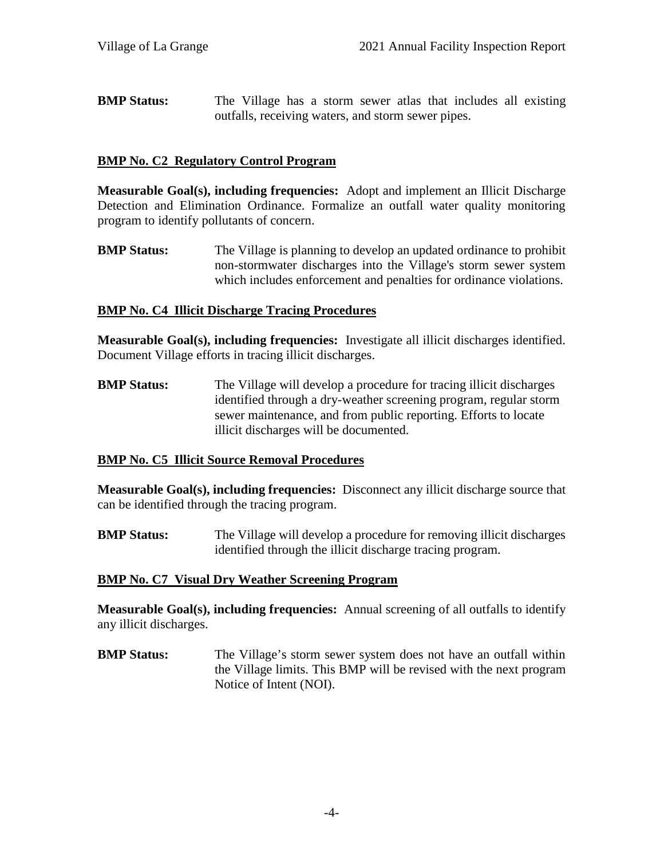**BMP Status:** The Village has a storm sewer atlas that includes all existing outfalls, receiving waters, and storm sewer pipes.

#### **BMP No. C2 Regulatory Control Program**

**Measurable Goal(s), including frequencies:** Adopt and implement an Illicit Discharge Detection and Elimination Ordinance. Formalize an outfall water quality monitoring program to identify pollutants of concern.

**BMP Status:** The Village is planning to develop an updated ordinance to prohibit non-stormwater discharges into the Village's storm sewer system which includes enforcement and penalties for ordinance violations.

#### **BMP No. C4 Illicit Discharge Tracing Procedures**

**Measurable Goal(s), including frequencies:** Investigate all illicit discharges identified. Document Village efforts in tracing illicit discharges.

**BMP Status:** The Village will develop a procedure for tracing illicit discharges identified through a dry-weather screening program, regular storm sewer maintenance, and from public reporting. Efforts to locate illicit discharges will be documented.

# **BMP No. C5 Illicit Source Removal Procedures**

**Measurable Goal(s), including frequencies:** Disconnect any illicit discharge source that can be identified through the tracing program.

**BMP Status:** The Village will develop a procedure for removing illicit discharges identified through the illicit discharge tracing program.

#### **BMP No. C7 Visual Dry Weather Screening Program**

**Measurable Goal(s), including frequencies:** Annual screening of all outfalls to identify any illicit discharges.

**BMP Status:** The Village's storm sewer system does not have an outfall within the Village limits. This BMP will be revised with the next program Notice of Intent (NOI).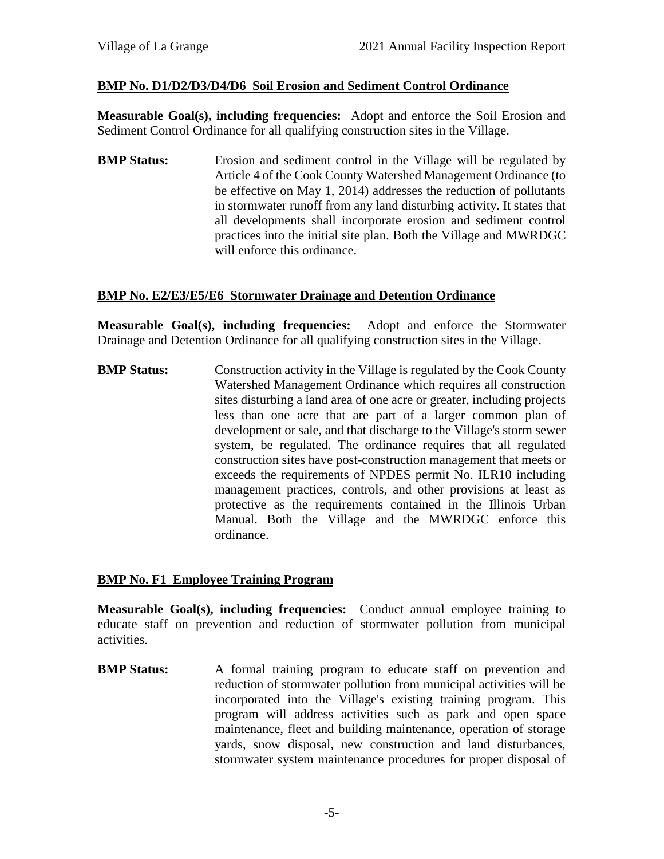# **BMP No. D1/D2/D3/D4/D6 Soil Erosion and Sediment Control Ordinance**

**Measurable Goal(s), including frequencies:** Adopt and enforce the Soil Erosion and Sediment Control Ordinance for all qualifying construction sites in the Village.

**BMP Status:** Erosion and sediment control in the Village will be regulated by Article 4 of the Cook County Watershed Management Ordinance (to be effective on May 1, 2014) addresses the reduction of pollutants in stormwater runoff from any land disturbing activity. It states that all developments shall incorporate erosion and sediment control practices into the initial site plan. Both the Village and MWRDGC will enforce this ordinance.

#### **BMP No. E2/E3/E5/E6 Stormwater Drainage and Detention Ordinance**

**Measurable Goal(s), including frequencies:** Adopt and enforce the Stormwater Drainage and Detention Ordinance for all qualifying construction sites in the Village.

**BMP Status:** Construction activity in the Village is regulated by the Cook County Watershed Management Ordinance which requires all construction sites disturbing a land area of one acre or greater, including projects less than one acre that are part of a larger common plan of development or sale, and that discharge to the Village's storm sewer system, be regulated. The ordinance requires that all regulated construction sites have post-construction management that meets or exceeds the requirements of NPDES permit No. ILR10 including management practices, controls, and other provisions at least as protective as the requirements contained in the Illinois Urban Manual. Both the Village and the MWRDGC enforce this ordinance.

# **BMP No. F1 Employee Training Program**

**Measurable Goal(s), including frequencies:** Conduct annual employee training to educate staff on prevention and reduction of stormwater pollution from municipal activities.

**BMP Status:** A formal training program to educate staff on prevention and reduction of stormwater pollution from municipal activities will be incorporated into the Village's existing training program. This program will address activities such as park and open space maintenance, fleet and building maintenance, operation of storage yards, snow disposal, new construction and land disturbances, stormwater system maintenance procedures for proper disposal of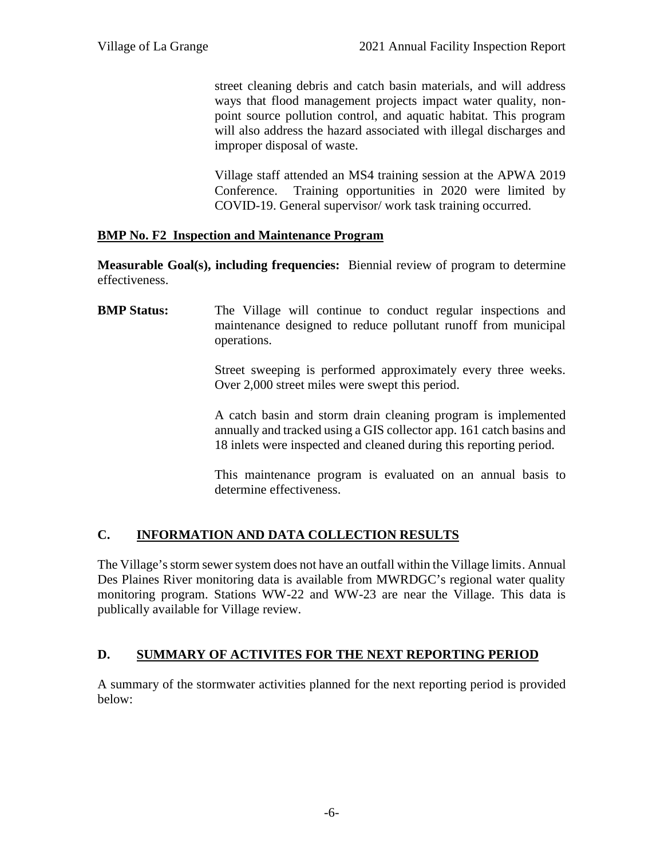street cleaning debris and catch basin materials, and will address ways that flood management projects impact water quality, non point source pollution control, and aquatic habitat. This program will also address the hazard associated with illegal discharges and improper disposal of waste.

Village staff attended an MS4 training session at the APWA 2019 Conference. Training opportunities in 2020 were limited by COVID-19. General supervisor/ work task training occurred.

# **BMP No. F2 Inspection and Maintenance Program**

**Measurable Goal(s), including frequencies:** Biennial review of program to determine effectiveness.

**BMP Status:** The Village will continue to conduct regular inspections and maintenance designed to reduce pollutant runoff from municipal operations.

> Street sweeping is performed approximately every three weeks. Over 2,000 street miles were swept this period.

> A catch basin and storm drain cleaning program is implemented annually and tracked using a GIS collector app. 161 catch basins and 18 inlets were inspected and cleaned during this reporting period.

> This maintenance program is evaluated on an annual basis to determine effectiveness.

# **C. INFORMATION AND DATA COLLECTION RESULTS**

The Village's storm sewer system does not have an outfall within the Village limits. Annual Des Plaines River monitoring data is available from MWRDGC's regional water quality monitoring program. Stations WW-22 and WW-23 are near the Village. This data is publically available for Village review.

# **D. SUMMARY OF ACTIVITES FOR THE NEXT REPORTING PERIOD**

A summary of the stormwater activities planned for the next reporting period is provided below: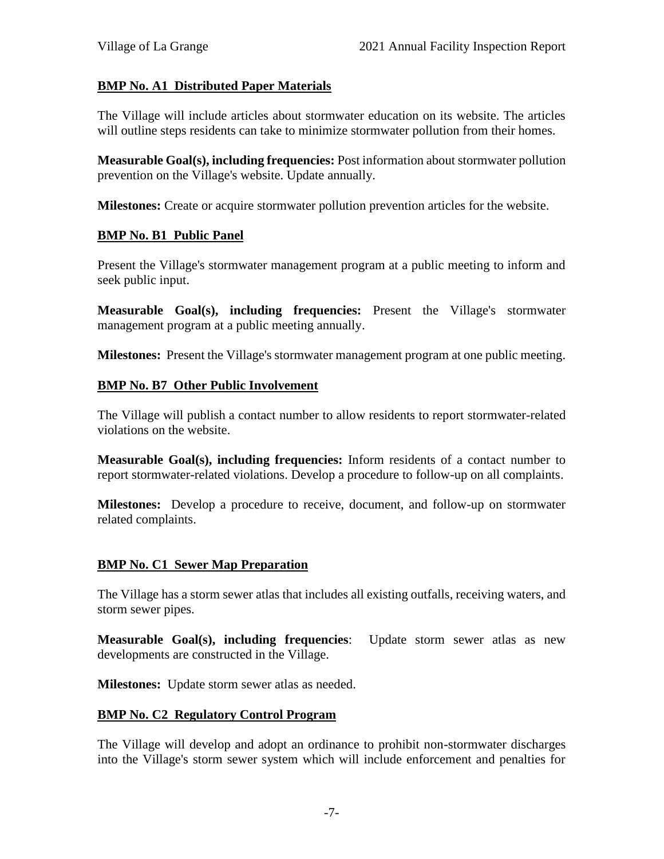# **BMP No. A1 Distributed Paper Materials**

The Village will include articles about stormwater education on its website. The articles will outline steps residents can take to minimize stormwater pollution from their homes.

**Measurable Goal(s), including frequencies:** Post information about stormwater pollution prevention on the Village's website. Update annually.

**Milestones:** Create or acquire stormwater pollution prevention articles for the website.

#### **BMP No. B1 Public Panel**

Present the Village's stormwater management program at a public meeting to inform and seek public input.

**Measurable Goal(s), including frequencies:** Present the Village's stormwater management program at a public meeting annually.

**Milestones:** Present the Village's stormwater management program at one public meeting.

#### **BMP No. B7 Other Public Involvement**

The Village will publish a contact number to allow residents to report stormwater-related violations on the website.

**Measurable Goal(s), including frequencies:** Inform residents of a contact number to report stormwater-related violations. Develop a procedure to follow-up on all complaints.

**Milestones:** Develop a procedure to receive, document, and follow-up on stormwater related complaints.

#### **BMP No. C1 Sewer Map Preparation**

The Village has a storm sewer atlas that includes all existing outfalls, receiving waters, and storm sewer pipes.

**Measurable Goal(s), including frequencies**: Update storm sewer atlas as new developments are constructed in the Village.

**Milestones:** Update storm sewer atlas as needed.

#### **BMP No. C2 Regulatory Control Program**

The Village will develop and adopt an ordinance to prohibit non-stormwater discharges into the Village's storm sewer system which will include enforcement and penalties for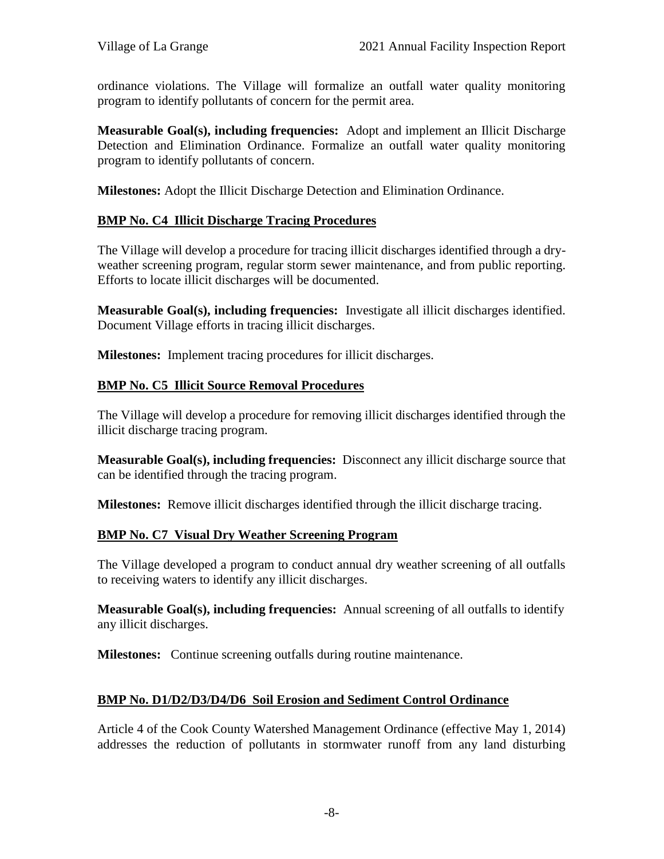ordinance violations. The Village will formalize an outfall water quality monitoring program to identify pollutants of concern for the permit area.

**Measurable Goal(s), including frequencies:** Adopt and implement an Illicit Discharge Detection and Elimination Ordinance. Formalize an outfall water quality monitoring program to identify pollutants of concern.

**Milestones:** Adopt the Illicit Discharge Detection and Elimination Ordinance.

# **BMP No. C4 Illicit Discharge Tracing Procedures**

The Village will develop a procedure for tracing illicit discharges identified through a dry weather screening program, regular storm sewer maintenance, and from public reporting. Efforts to locate illicit discharges will be documented.

**Measurable Goal(s), including frequencies:** Investigate all illicit discharges identified. Document Village efforts in tracing illicit discharges.

**Milestones:** Implement tracing procedures for illicit discharges.

#### **BMP No. C5 Illicit Source Removal Procedures**

The Village will develop a procedure for removing illicit discharges identified through the illicit discharge tracing program.

**Measurable Goal(s), including frequencies:** Disconnect any illicit discharge source that can be identified through the tracing program.

**Milestones:** Remove illicit discharges identified through the illicit discharge tracing.

# **BMP No. C7 Visual Dry Weather Screening Program**

The Village developed a program to conduct annual dry weather screening of all outfalls to receiving waters to identify any illicit discharges.

**Measurable Goal(s), including frequencies:** Annual screening of all outfalls to identify any illicit discharges.

**Milestones:** Continue screening outfalls during routine maintenance.

# **BMP No. D1/D2/D3/D4/D6 Soil Erosion and Sediment Control Ordinance**

Article 4 of the Cook County Watershed Management Ordinance (effective May 1, 2014) addresses the reduction of pollutants in stormwater runoff from any land disturbing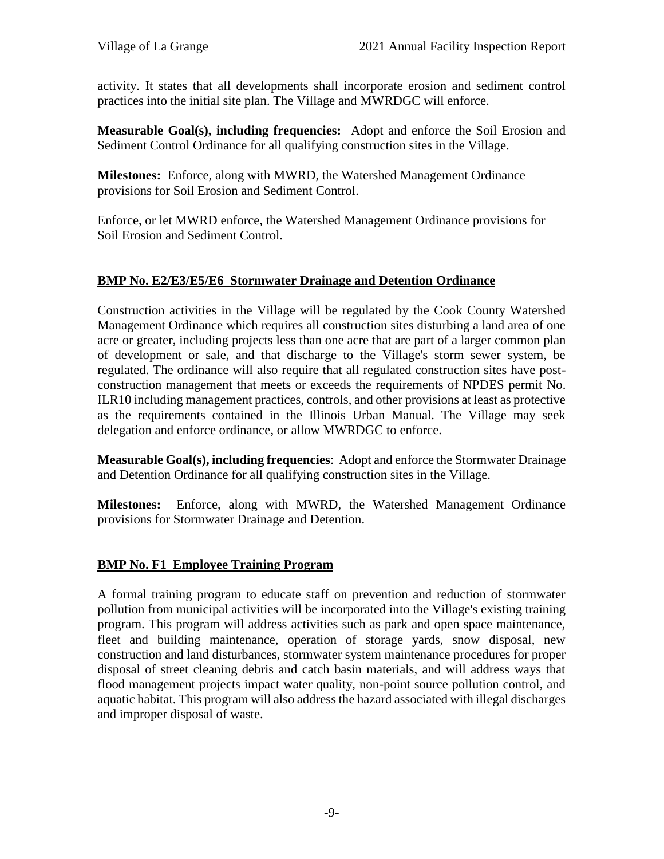activity. It states that all developments shall incorporate erosion and sediment control practices into the initial site plan. The Village and MWRDGC will enforce.

**Measurable Goal(s), including frequencies:** Adopt and enforce the Soil Erosion and Sediment Control Ordinance for all qualifying construction sites in the Village.

**Milestones:** Enforce, along with MWRD, the Watershed Management Ordinance provisions for Soil Erosion and Sediment Control.

Enforce, or let MWRD enforce, the Watershed Management Ordinance provisions for Soil Erosion and Sediment Control.

# **BMP No. E2/E3/E5/E6 Stormwater Drainage and Detention Ordinance**

Construction activities in the Village will be regulated by the Cook County Watershed Management Ordinance which requires all construction sites disturbing a land area of one acre or greater, including projects less than one acre that are part of a larger common plan of development or sale, and that discharge to the Village's storm sewer system, be regulated. The ordinance will also require that all regulated construction sites have post construction management that meets or exceeds the requirements of NPDES permit No. ILR10 including management practices, controls, and other provisions at least as protective as the requirements contained in the Illinois Urban Manual. The Village may seek delegation and enforce ordinance, or allow MWRDGC to enforce.

**Measurable Goal(s), including frequencies**: Adopt and enforce the Stormwater Drainage and Detention Ordinance for all qualifying construction sites in the Village.

**Milestones:** Enforce, along with MWRD, the Watershed Management Ordinance provisions for Stormwater Drainage and Detention.

#### **BMP No. F1 Employee Training Program**

A formal training program to educate staff on prevention and reduction of stormwater pollution from municipal activities will be incorporated into the Village's existing training program. This program will address activities such as park and open space maintenance, fleet and building maintenance, operation of storage yards, snow disposal, new construction and land disturbances, stormwater system maintenance procedures for proper disposal of street cleaning debris and catch basin materials, and will address ways that flood management projects impact water quality, non-point source pollution control, and aquatic habitat. This program will also address the hazard associated with illegal discharges and improper disposal of waste.